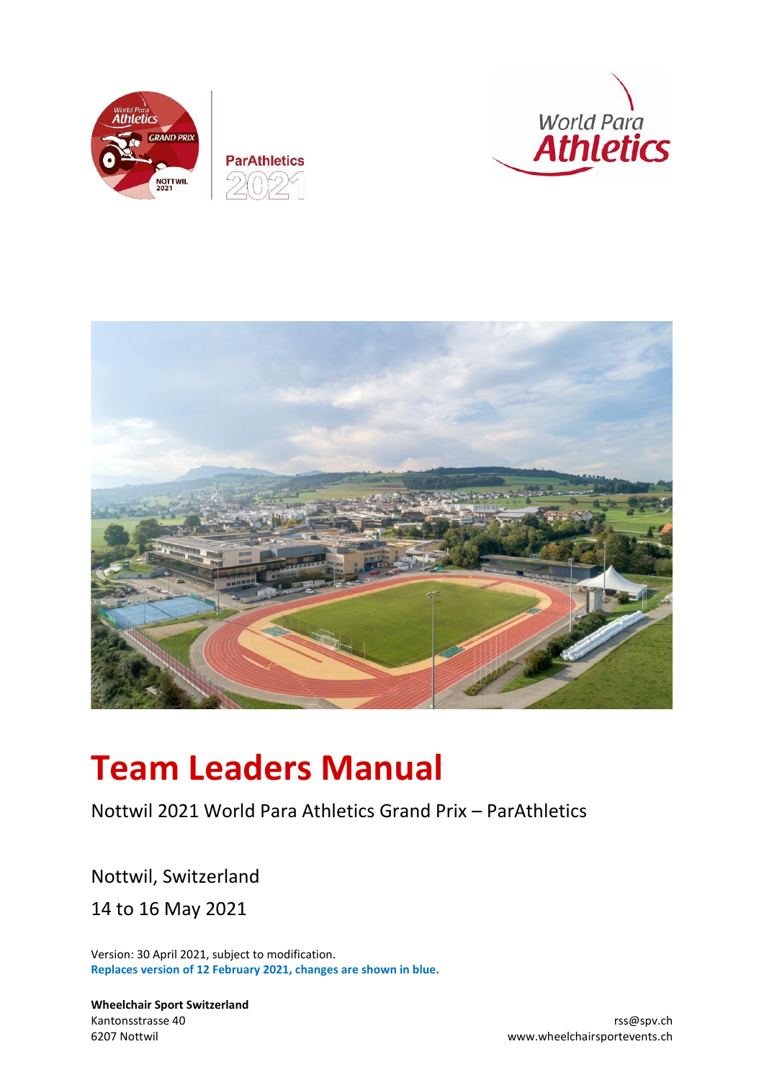







# **Team Leaders Manual**

# Nottwil 2021 World Para Athletics Grand Prix – ParAthletics

Nottwil, Switzerland 14 to 16 May 2021

Version: 30 April 2021, subject to modification. **Replaces version of 12 February 2021, changes are shown in blue.**

**Wheelchair Sport Switzerland** Kantonsstrasse 40 rss@spv.ch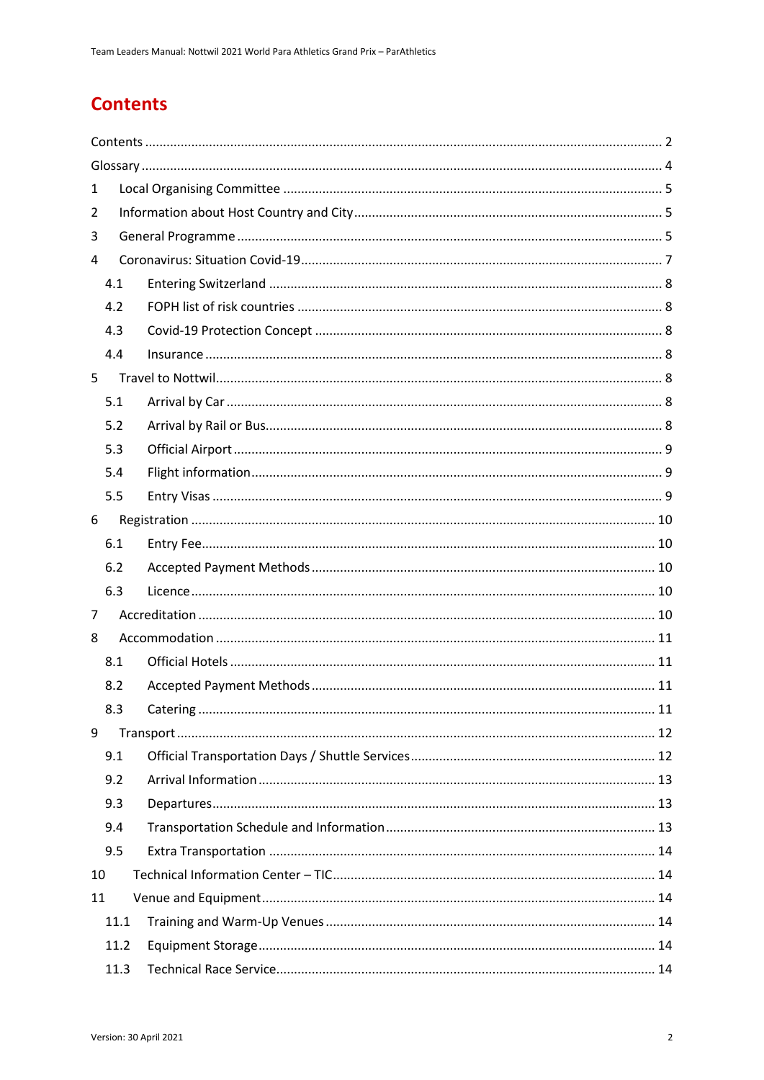# <span id="page-1-0"></span>**Contents**

| 1    |  |
|------|--|
| 2    |  |
| 3    |  |
| 4    |  |
| 4.1  |  |
| 4.2  |  |
| 4.3  |  |
| 4.4  |  |
| 5    |  |
| 5.1  |  |
| 5.2  |  |
| 5.3  |  |
| 5.4  |  |
| 5.5  |  |
| 6    |  |
| 6.1  |  |
| 6.2  |  |
| 6.3  |  |
| 7    |  |
| 8    |  |
| 8.1  |  |
| 8.2  |  |
| 8.3  |  |
| 9    |  |
| 9.1  |  |
| 9.2  |  |
| 9.3  |  |
| 9.4  |  |
| 9.5  |  |
| 10   |  |
| 11   |  |
| 11.1 |  |
| 11.2 |  |
| 11.3 |  |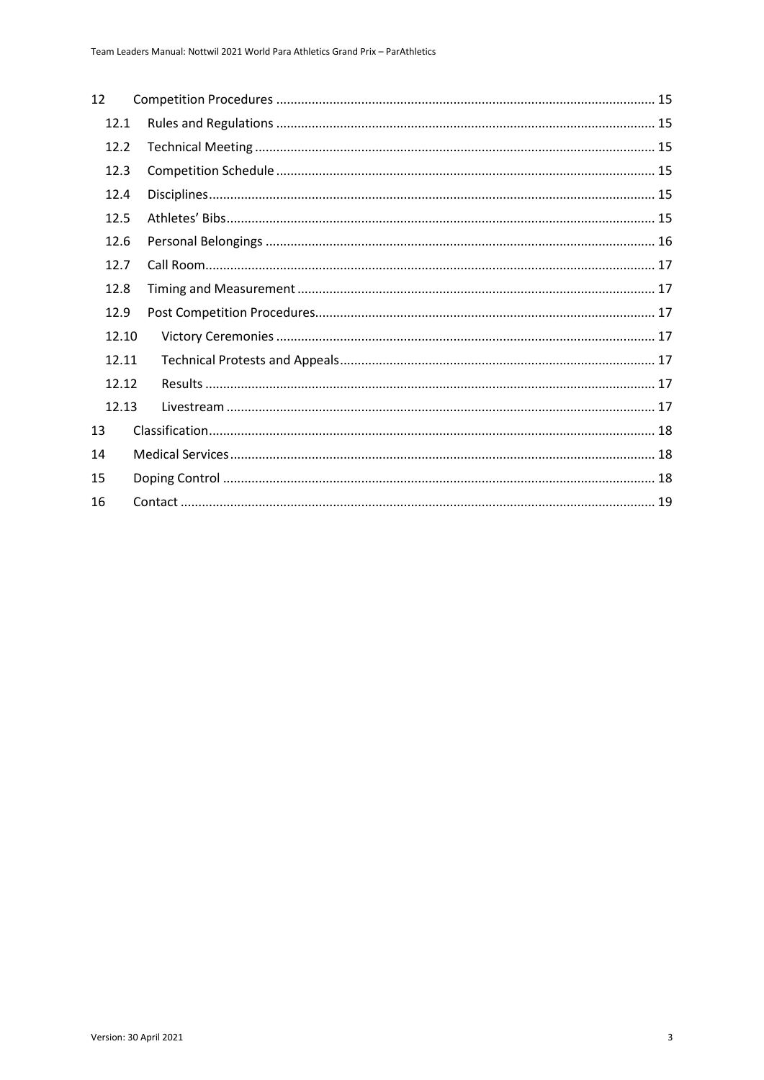| 12    |  |
|-------|--|
| 12.1  |  |
| 12.2  |  |
| 12.3  |  |
| 12.4  |  |
| 12.5  |  |
| 12.6  |  |
| 12.7  |  |
| 12.8  |  |
| 12.9  |  |
| 12.10 |  |
| 12.11 |  |
| 12.12 |  |
| 12.13 |  |
| 13    |  |
| 14    |  |
| 15    |  |
| 16    |  |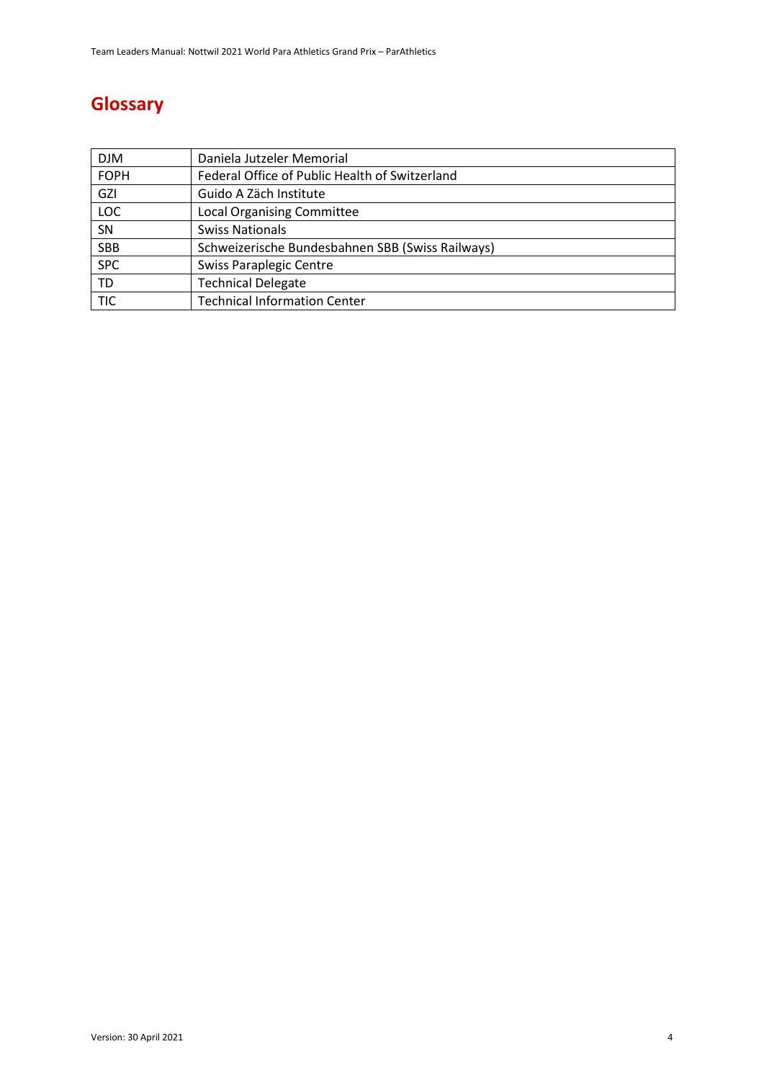# <span id="page-3-0"></span>**Glossary**

| <b>DJM</b>  | Daniela Jutzeler Memorial                        |
|-------------|--------------------------------------------------|
| <b>FOPH</b> | Federal Office of Public Health of Switzerland   |
| <b>GZI</b>  | Guido A Zäch Institute                           |
| <b>LOC</b>  | <b>Local Organising Committee</b>                |
| SN          | <b>Swiss Nationals</b>                           |
| <b>SBB</b>  | Schweizerische Bundesbahnen SBB (Swiss Railways) |
| <b>SPC</b>  | Swiss Paraplegic Centre                          |
| <b>TD</b>   | <b>Technical Delegate</b>                        |
| <b>TIC</b>  | <b>Technical Information Center</b>              |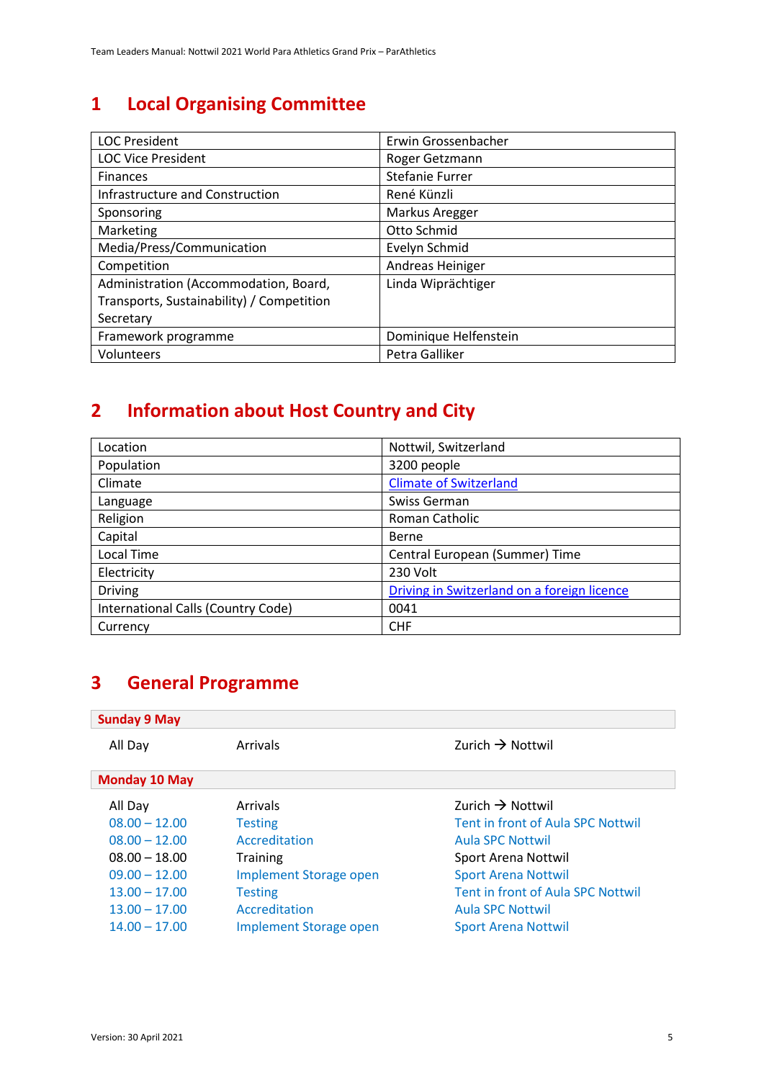# <span id="page-4-0"></span>**1 Local Organising Committee**

| <b>LOC President</b>                      | Erwin Grossenbacher    |
|-------------------------------------------|------------------------|
| <b>LOC Vice President</b>                 | Roger Getzmann         |
| <b>Finances</b>                           | <b>Stefanie Furrer</b> |
| Infrastructure and Construction           | René Künzli            |
| Sponsoring                                | Markus Aregger         |
| Marketing                                 | Otto Schmid            |
| Media/Press/Communication                 | Evelyn Schmid          |
| Competition                               | Andreas Heiniger       |
| Administration (Accommodation, Board,     | Linda Wiprächtiger     |
| Transports, Sustainability) / Competition |                        |
| Secretary                                 |                        |
| Framework programme                       | Dominique Helfenstein  |
| Volunteers                                | Petra Galliker         |

# <span id="page-4-1"></span>**2 Information about Host Country and City**

| Location                           | Nottwil, Switzerland                        |
|------------------------------------|---------------------------------------------|
| Population                         | 3200 people                                 |
| Climate                            | <b>Climate of Switzerland</b>               |
| Language                           | Swiss German                                |
| Religion                           | Roman Catholic                              |
| Capital                            | Berne                                       |
| <b>Local Time</b>                  | Central European (Summer) Time              |
| Electricity                        | 230 Volt                                    |
| <b>Driving</b>                     | Driving in Switzerland on a foreign licence |
| International Calls (Country Code) | 0041                                        |
| Currency                           | <b>CHF</b>                                  |

# <span id="page-4-2"></span>**3 General Programme**

#### **Sunday 9 May**

| All Day              | Arrivals                      | Zurich $\rightarrow$ Nottwil      |  |
|----------------------|-------------------------------|-----------------------------------|--|
| <b>Monday 10 May</b> |                               |                                   |  |
| All Day              | Arrivals                      | Zurich $\rightarrow$ Nottwil      |  |
| $08.00 - 12.00$      | <b>Testing</b>                | Tent in front of Aula SPC Nottwil |  |
| $08.00 - 12.00$      | Accreditation                 | <b>Aula SPC Nottwil</b>           |  |
| $08.00 - 18.00$      | <b>Training</b>               | Sport Arena Nottwil               |  |
| $09.00 - 12.00$      | <b>Implement Storage open</b> | <b>Sport Arena Nottwil</b>        |  |
| $13.00 - 17.00$      | <b>Testing</b>                | Tent in front of Aula SPC Nottwil |  |
| $13.00 - 17.00$      | Accreditation                 | <b>Aula SPC Nottwil</b>           |  |
| $14.00 - 17.00$      | <b>Implement Storage open</b> | <b>Sport Arena Nottwil</b>        |  |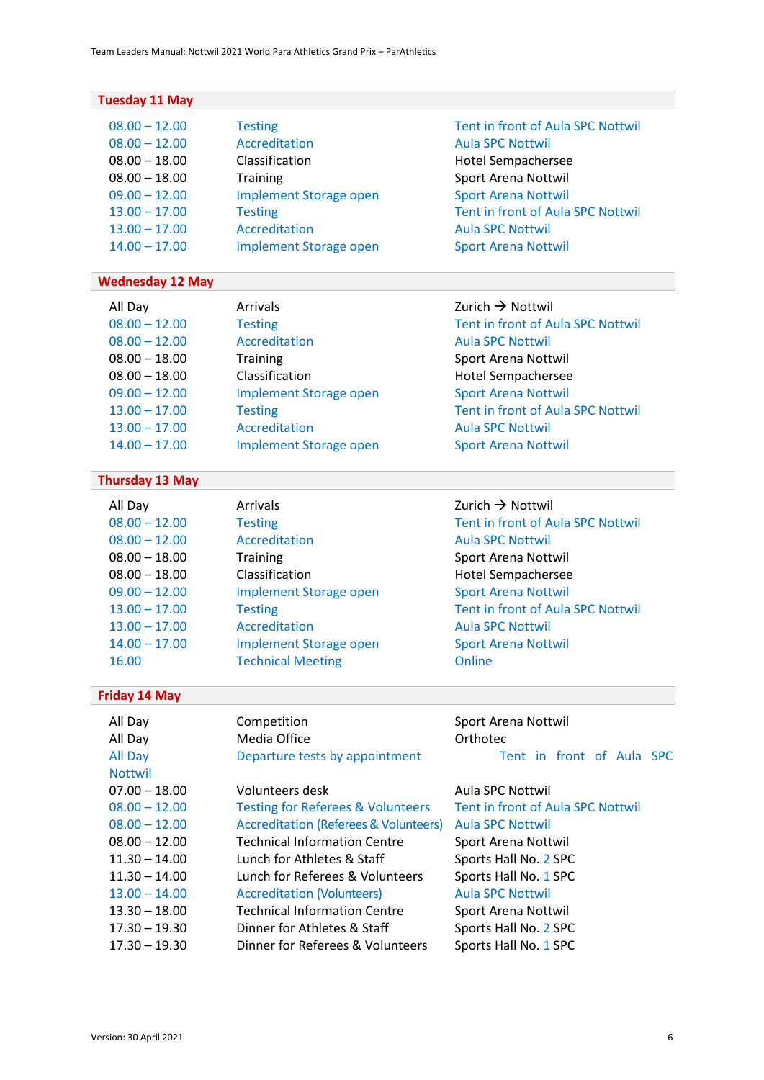| <b>Tuesday 11 May</b>                                                         |                                                             |                                   |  |
|-------------------------------------------------------------------------------|-------------------------------------------------------------|-----------------------------------|--|
| $08.00 - 12.00$                                                               | <b>Testing</b>                                              | Tent in front of Aula SPC Nottwil |  |
| $08.00 - 12.00$                                                               | <b>Accreditation</b>                                        | <b>Aula SPC Nottwil</b>           |  |
| $08.00 - 18.00$                                                               | Classification<br>Hotel Sempachersee                        |                                   |  |
| $08.00 - 18.00$                                                               | <b>Training</b><br><b>Sport Arena Nottwil</b>               |                                   |  |
| $09.00 - 12.00$                                                               | <b>Sport Arena Nottwil</b><br><b>Implement Storage open</b> |                                   |  |
| $13.00 - 17.00$                                                               | <b>Testing</b>                                              | Tent in front of Aula SPC Nottwil |  |
| $13.00 - 17.00$                                                               | <b>Accreditation</b>                                        | <b>Aula SPC Nottwil</b>           |  |
| $14.00 - 17.00$                                                               | <b>Implement Storage open</b>                               | <b>Sport Arena Nottwil</b>        |  |
| <b>Wednesday 12 May</b>                                                       |                                                             |                                   |  |
| All Day                                                                       | Arrivals                                                    | Zurich $\rightarrow$ Nottwil      |  |
| $08.00 - 12.00$                                                               | <b>Testing</b>                                              | Tent in front of Aula SPC Nottwil |  |
| $08.00 - 12.00$                                                               | Accreditation                                               | <b>Aula SPC Nottwil</b>           |  |
| $08.00 - 18.00$                                                               | <b>Training</b>                                             | Sport Arena Nottwil               |  |
| $08.00 - 18.00$                                                               | Classification                                              | <b>Hotel Sempachersee</b>         |  |
| $09.00 - 12.00$                                                               | <b>Implement Storage open</b>                               | <b>Sport Arena Nottwil</b>        |  |
| $13.00 - 17.00$                                                               | <b>Testing</b>                                              | Tent in front of Aula SPC Nottwil |  |
| $13.00 - 17.00$                                                               | <b>Accreditation</b>                                        | <b>Aula SPC Nottwil</b>           |  |
| $14.00 - 17.00$                                                               | <b>Implement Storage open</b>                               | <b>Sport Arena Nottwil</b>        |  |
| <b>Thursday 13 May</b>                                                        |                                                             |                                   |  |
| All Day                                                                       | Arrivals                                                    | Zurich $\rightarrow$ Nottwil      |  |
| $08.00 - 12.00$                                                               | <b>Testing</b>                                              | Tent in front of Aula SPC Nottwil |  |
| $08.00 - 12.00$                                                               | <b>Accreditation</b>                                        | <b>Aula SPC Nottwil</b>           |  |
| $08.00 - 18.00$                                                               | <b>Training</b><br>Sport Arena Nottwil                      |                                   |  |
| $08.00 - 18.00$                                                               | Classification                                              | Hotel Sempachersee                |  |
| $09.00 - 12.00$                                                               | <b>Implement Storage open</b>                               | <b>Sport Arena Nottwil</b>        |  |
| $13.00 - 17.00$                                                               | <b>Testing</b>                                              | Tent in front of Aula SPC Nottwil |  |
| $13.00 - 17.00$                                                               | <b>Accreditation</b>                                        | <b>Aula SPC Nottwil</b>           |  |
| $14.00 - 17.00$                                                               | <b>Implement Storage open</b>                               | <b>Sport Arena Nottwil</b>        |  |
| 16.00                                                                         | <b>Technical Meeting</b>                                    | Online                            |  |
| <b>Friday 14 May</b>                                                          |                                                             |                                   |  |
| All Day                                                                       | Competition                                                 | Sport Arena Nottwil               |  |
| All Day                                                                       | Media Office                                                | Orthotec                          |  |
| All Day                                                                       | Departure tests by appointment                              | Tent in front of Aula SPC         |  |
| <b>Nottwil</b>                                                                |                                                             |                                   |  |
| $07.00 - 18.00$                                                               | Volunteers desk                                             | Aula SPC Nottwil                  |  |
| $08.00 - 12.00$                                                               | <b>Testing for Referees &amp; Volunteers</b>                | Tent in front of Aula SPC Nottwil |  |
| $08.00 - 12.00$                                                               | <b>Accreditation (Referees &amp; Volunteers)</b>            | <b>Aula SPC Nottwil</b>           |  |
| $08.00 - 12.00$                                                               | <b>Technical Information Centre</b>                         | Sport Arena Nottwil               |  |
| $11.30 - 14.00$                                                               | Lunch for Athletes & Staff                                  | Sports Hall No. 2 SPC             |  |
| $11.30 - 14.00$                                                               | Lunch for Referees & Volunteers                             | Sports Hall No. 1 SPC             |  |
| $13.00 - 14.00$                                                               | <b>Accreditation (Volunteers)</b>                           | <b>Aula SPC Nottwil</b>           |  |
| <b>Technical Information Centre</b><br>$13.30 - 18.00$<br>Sport Arena Nottwil |                                                             |                                   |  |
| $17.30 - 19.30$                                                               | Dinner for Athletes & Staff                                 | Sports Hall No. 2 SPC             |  |
| $17.30 - 19.30$                                                               | Dinner for Referees & Volunteers                            | Sports Hall No. 1 SPC             |  |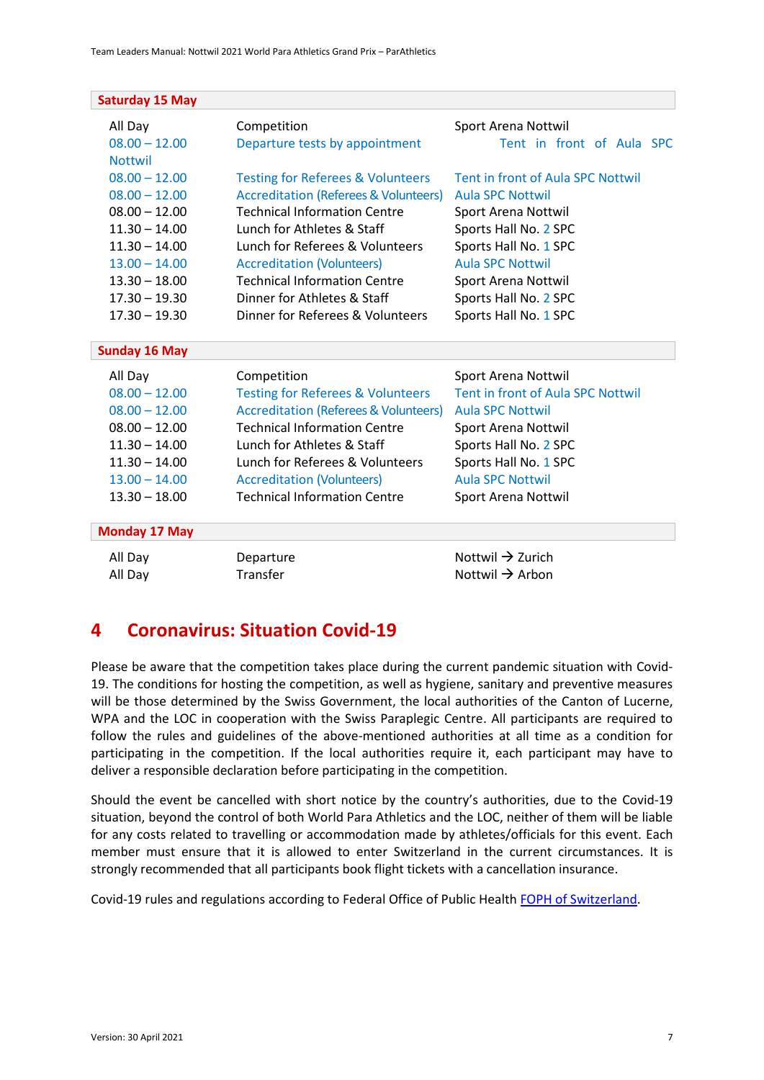| <b>Saturday 15 May</b>                                                                                                           |                                                                                                                                                                                                                                               |                                                                                                                                                                         |
|----------------------------------------------------------------------------------------------------------------------------------|-----------------------------------------------------------------------------------------------------------------------------------------------------------------------------------------------------------------------------------------------|-------------------------------------------------------------------------------------------------------------------------------------------------------------------------|
| All Day                                                                                                                          | Competition                                                                                                                                                                                                                                   | Sport Arena Nottwil                                                                                                                                                     |
| $08.00 - 12.00$                                                                                                                  | Departure tests by appointment                                                                                                                                                                                                                | Tent in front of Aula SPC                                                                                                                                               |
| <b>Nottwil</b><br>$08.00 - 12.00$<br>$08.00 - 12.00$<br>$08.00 - 12.00$<br>$11.30 - 14.00$<br>$11.30 - 14.00$<br>$13.00 - 14.00$ | <b>Testing for Referees &amp; Volunteers</b><br><b>Accreditation (Referees &amp; Volunteers)</b><br><b>Technical Information Centre</b><br>Lunch for Athletes & Staff<br>Lunch for Referees & Volunteers<br><b>Accreditation (Volunteers)</b> | <b>Tent in front of Aula SPC Nottwil</b><br><b>Aula SPC Nottwil</b><br>Sport Arena Nottwil<br>Sports Hall No. 2 SPC<br>Sports Hall No. 1 SPC<br><b>Aula SPC Nottwil</b> |
| $13.30 - 18.00$                                                                                                                  | <b>Technical Information Centre</b>                                                                                                                                                                                                           | Sport Arena Nottwil                                                                                                                                                     |
| $17.30 - 19.30$                                                                                                                  | Dinner for Athletes & Staff                                                                                                                                                                                                                   | Sports Hall No. 2 SPC                                                                                                                                                   |
| $17.30 - 19.30$                                                                                                                  | Dinner for Referees & Volunteers                                                                                                                                                                                                              | Sports Hall No. 1 SPC                                                                                                                                                   |
| <b>Sunday 16 May</b>                                                                                                             |                                                                                                                                                                                                                                               |                                                                                                                                                                         |
| All Day                                                                                                                          | Competition                                                                                                                                                                                                                                   | Sport Arena Nottwil                                                                                                                                                     |
| $08.00 - 12.00$                                                                                                                  | <b>Testing for Referees &amp; Volunteers</b>                                                                                                                                                                                                  | Tent in front of Aula SPC Nottwil                                                                                                                                       |
| $08.00 - 12.00$                                                                                                                  | <b>Accreditation (Referees &amp; Volunteers)</b>                                                                                                                                                                                              | <b>Aula SPC Nottwil</b>                                                                                                                                                 |
| $08.00 - 12.00$                                                                                                                  | <b>Technical Information Centre</b>                                                                                                                                                                                                           | Sport Arena Nottwil                                                                                                                                                     |
| $11.30 - 14.00$                                                                                                                  | Lunch for Athletes & Staff                                                                                                                                                                                                                    | Sports Hall No. 2 SPC                                                                                                                                                   |
| $11.30 - 14.00$                                                                                                                  | Lunch for Referees & Volunteers                                                                                                                                                                                                               | Sports Hall No. 1 SPC                                                                                                                                                   |
| $13.00 - 14.00$                                                                                                                  | <b>Accreditation (Volunteers)</b>                                                                                                                                                                                                             | <b>Aula SPC Nottwil</b>                                                                                                                                                 |
| $13.30 - 18.00$                                                                                                                  | <b>Technical Information Centre</b>                                                                                                                                                                                                           | Sport Arena Nottwil                                                                                                                                                     |
| <b>Monday 17 May</b>                                                                                                             |                                                                                                                                                                                                                                               |                                                                                                                                                                         |
| All Day                                                                                                                          | Departure                                                                                                                                                                                                                                     | Nottwil $\rightarrow$ Zurich                                                                                                                                            |
| All Day                                                                                                                          | Transfer                                                                                                                                                                                                                                      | Nottwil $\rightarrow$ Arbon                                                                                                                                             |

### <span id="page-6-0"></span>**4 Coronavirus: Situation Covid-19**

Please be aware that the competition takes place during the current pandemic situation with Covid-19. The conditions for hosting the competition, as well as hygiene, sanitary and preventive measures will be those determined by the Swiss Government, the local authorities of the Canton of Lucerne, WPA and the LOC in cooperation with the Swiss Paraplegic Centre. All participants are required to follow the rules and guidelines of the above-mentioned authorities at all time as a condition for participating in the competition. If the local authorities require it, each participant may have to deliver a responsible declaration before participating in the competition.

Should the event be cancelled with short notice by the country's authorities, due to the Covid-19 situation, beyond the control of both World Para Athletics and the LOC, neither of them will be liable for any costs related to travelling or accommodation made by athletes/officials for this event. Each member must ensure that it is allowed to enter Switzerland in the current circumstances. It is strongly recommended that all participants book flight tickets with a cancellation insurance.

Covid-19 rules and regulations according to Federal Office of Public Healt[h FOPH of Switzerland.](https://www.bag.admin.ch/bag/en/home/krankheiten/ausbrueche-epidemien-pandemien/aktuelle-ausbrueche-epidemien/novel-cov/empfehlungen-fuer-reisende.html)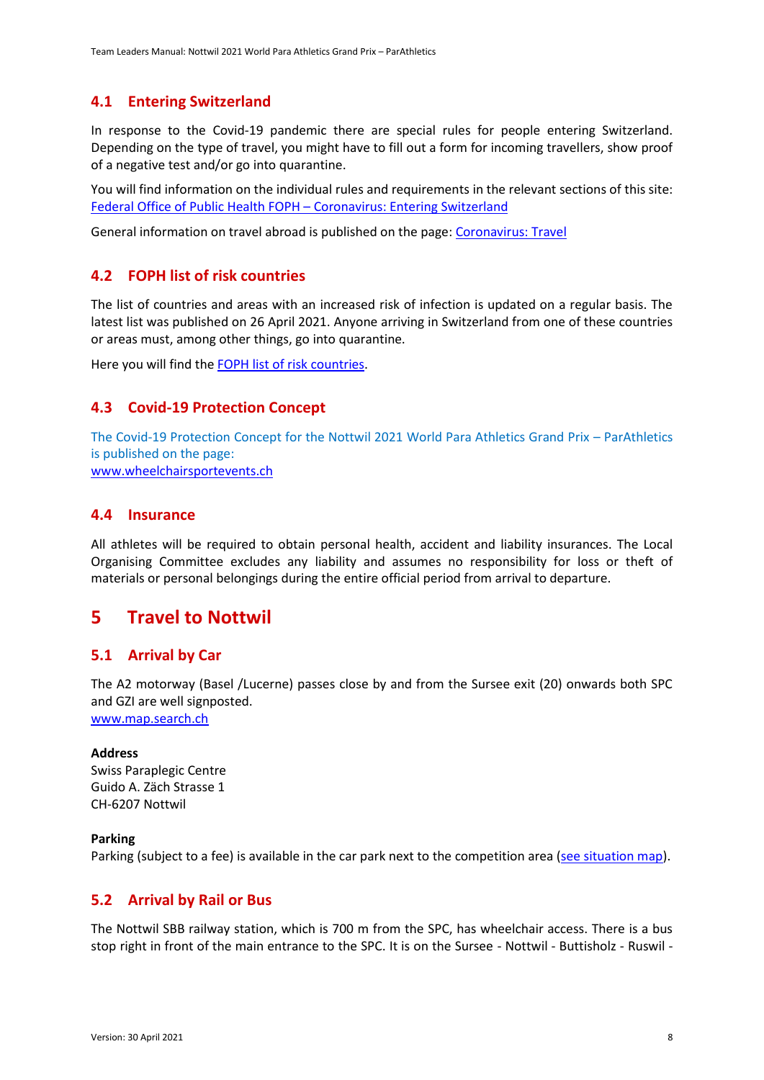#### <span id="page-7-0"></span>**4.1 Entering Switzerland**

In response to the Covid-19 pandemic there are special rules for people entering Switzerland. Depending on the type of travel, you might have to fill out a form for incoming travellers, show proof of a negative test and/or go into quarantine.

You will find information on the individual rules and requirements in the relevant sections of this site: [Federal Office of Public Health FOPH](https://www.bag.admin.ch/bag/en/home/krankheiten/ausbrueche-epidemien-pandemien/aktuelle-ausbrueche-epidemien/novel-cov/empfehlungen-fuer-reisende/quarantaene-einreisende.html) – Coronavirus: Entering Switzerland

General information on travel abroad is published on the page: [Coronavirus: Travel](https://www.bag.admin.ch/bag/en/home/krankheiten/ausbrueche-epidemien-pandemien/aktuelle-ausbrueche-epidemien/novel-cov/empfehlungen-fuer-reisende.html)

#### <span id="page-7-1"></span>**4.2 FOPH list of risk countries**

The list of countries and areas with an increased risk of infection is updated on a regular basis. The latest list was published on 26 April 2021. Anyone arriving in Switzerland from one of these countries or areas must, among other things, go into quarantine.

Here you will find th[e FOPH list of risk countries.](https://www.bag.admin.ch/bag/en/home/krankheiten/ausbrueche-epidemien-pandemien/aktuelle-ausbrueche-epidemien/novel-cov/empfehlungen-fuer-reisende/liste.html)

#### <span id="page-7-2"></span>**4.3 Covid-19 Protection Concept**

The Covid-19 Protection Concept for the Nottwil 2021 World Para Athletics Grand Prix – ParAthletics is published on the page: [www.wheelchairsportevents.ch](http://www.wheelchairsportevents.ch/)

#### <span id="page-7-3"></span>**4.4 Insurance**

All athletes will be required to obtain personal health, accident and liability insurances. The Local Organising Committee excludes any liability and assumes no responsibility for loss or theft of materials or personal belongings during the entire official period from arrival to departure.

### <span id="page-7-4"></span>**5 Travel to Nottwil**

#### <span id="page-7-5"></span>**5.1 Arrival by Car**

The A2 motorway (Basel /Lucerne) passes close by and from the Sursee exit (20) onwards both SPC and GZI are well signposted. [www.map.search.ch](http://www.map.search.ch/)

#### **Address**

Swiss Paraplegic Centre Guido A. Zäch Strasse 1 CH-6207 Nottwil

#### **Parking**

Parking (subject to a fee) is available in the car park next to the competition area [\(see situation map\)](https://www.paraplegie.ch/en/contacts/map).

#### <span id="page-7-6"></span>**5.2 Arrival by Rail or Bus**

The Nottwil SBB railway station, which is 700 m from the SPC, has wheelchair access. There is a bus stop right in front of the main entrance to the SPC. It is on the Sursee - Nottwil - Buttisholz - Ruswil -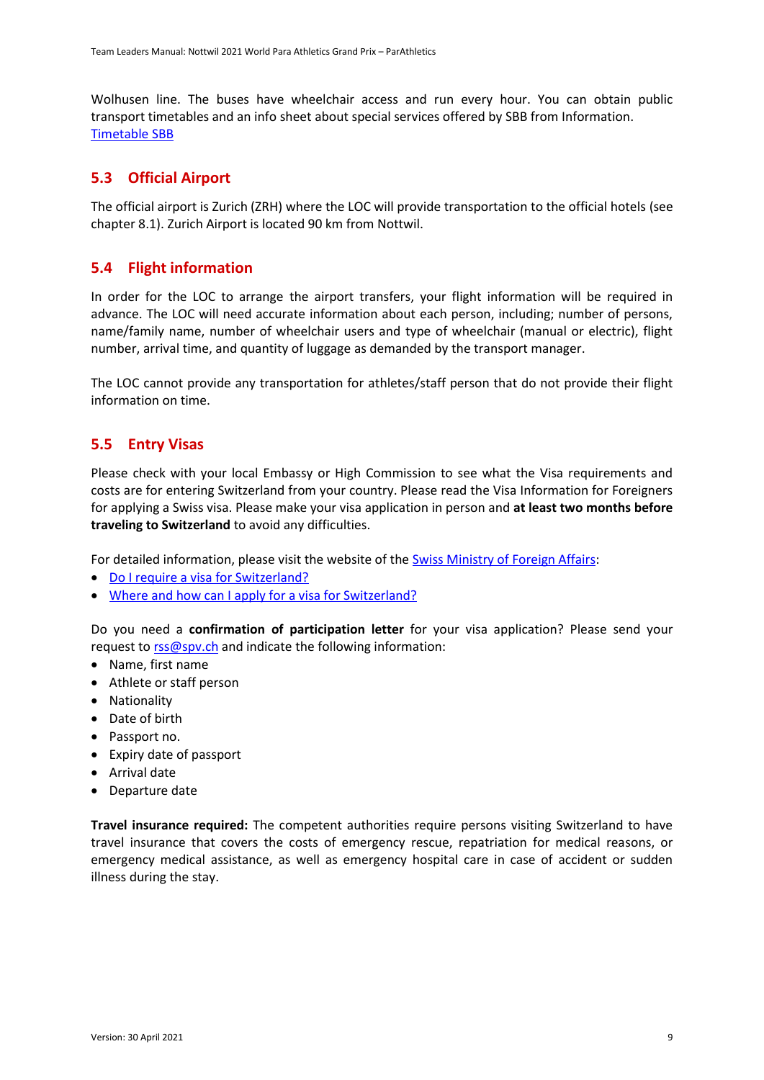Wolhusen line. The buses have wheelchair access and run every hour. You can obtain public transport timetables and an info sheet about special services offered by SBB from Information. [Timetable SBB](https://www.sbb.ch/en/)

#### <span id="page-8-0"></span>**5.3 Official Airport**

The official airport is Zurich (ZRH) where the LOC will provide transportation to the official hotels (see chapter 8.1). Zurich Airport is located 90 km from Nottwil.

#### <span id="page-8-1"></span>**5.4 Flight information**

In order for the LOC to arrange the airport transfers, your flight information will be required in advance. The LOC will need accurate information about each person, including; number of persons, name/family name, number of wheelchair users and type of wheelchair (manual or electric), flight number, arrival time, and quantity of luggage as demanded by the transport manager.

The LOC cannot provide any transportation for athletes/staff person that do not provide their flight information on time.

#### <span id="page-8-2"></span>**5.5 Entry Visas**

Please check with your local Embassy or High Commission to see what the Visa requirements and costs are for entering Switzerland from your country. Please read the Visa Information for Foreigners for applying a Swiss visa. Please make your visa application in person and **at least two months before traveling to Switzerland** to avoid any difficulties.

For detailed information, please visit the website of the [Swiss Ministry of Foreign Affairs:](https://www.sem.admin.ch/sem/en/home/themen/einreise.html)

- [Do I require a visa for Switzerland?](https://www.sem.admin.ch/sem/en/home/themen/einreise/merkblatt_einreise.html)
- Where and how can I [apply for a visa for Switzerland?](https://www.swiss-visa.ch/ivis2/#/i210-select-country)

Do you need a **confirmation of participation letter** for your visa application? Please send your request t[o rss@spv.ch](mailto:rss@spv.ch) and indicate the following information:

- Name, first name
- Athlete or staff person
- Nationality
- Date of birth
- Passport no.
- Expiry date of passport
- Arrival date
- Departure date

**Travel insurance required:** The competent authorities require persons visiting Switzerland to have travel insurance that covers the costs of emergency rescue, repatriation for medical reasons, or emergency medical assistance, as well as emergency hospital care in case of accident or sudden illness during the stay.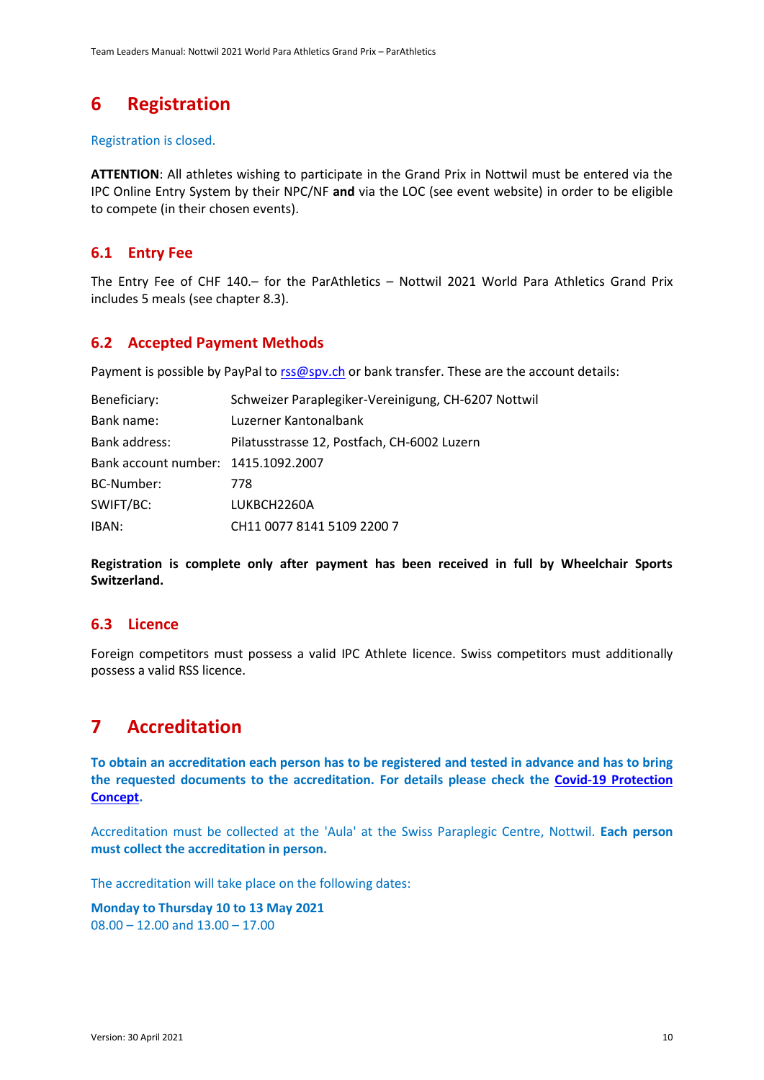# <span id="page-9-0"></span>**6 Registration**

#### Registration is closed.

**ATTENTION**: All athletes wishing to participate in the Grand Prix in Nottwil must be entered via the IPC Online Entry System by their NPC/NF **and** via the LOC (see event website) in order to be eligible to compete (in their chosen events).

#### <span id="page-9-1"></span>**6.1 Entry Fee**

The Entry Fee of CHF 140.– for the ParAthletics – Nottwil 2021 World Para Athletics Grand Prix includes 5 meals (see chapter 8.3).

#### <span id="page-9-2"></span>**6.2 Accepted Payment Methods**

Payment is possible by PayPal to rss@spy.ch or bank transfer. These are the account details:

| Beneficiary:                        | Schweizer Paraplegiker-Vereinigung, CH-6207 Nottwil |
|-------------------------------------|-----------------------------------------------------|
| Bank name:                          | Luzerner Kantonalbank                               |
| Bank address:                       | Pilatusstrasse 12, Postfach, CH-6002 Luzern         |
| Bank account number: 1415.1092.2007 |                                                     |
| BC-Number:                          | 778                                                 |
| SWIFT/BC:                           | LUKBCH2260A                                         |
| IBAN:                               | CH11 0077 8141 5109 2200 7                          |

**Registration is complete only after payment has been received in full by Wheelchair Sports Switzerland.**

#### <span id="page-9-3"></span>**6.3 Licence**

Foreign competitors must possess a valid IPC Athlete licence. Swiss competitors must additionally possess a valid RSS licence.

# <span id="page-9-4"></span>**7 Accreditation**

**To obtain an accreditation each person has to be registered and tested in advance and has to bring the requested documents to the accreditation. For details please check the [Covid-19 Protection](http://www.wheelchairsportevents.ch/en/ongoing_events/parathletics_2021_nottwil/covid-19/)  [Concept.](http://www.wheelchairsportevents.ch/en/ongoing_events/parathletics_2021_nottwil/covid-19/)**

Accreditation must be collected at the 'Aula' at the Swiss Paraplegic Centre, Nottwil. **Each person must collect the accreditation in person.**

The accreditation will take place on the following dates:

**Monday to Thursday 10 to 13 May 2021** 08.00 – 12.00 and 13.00 – 17.00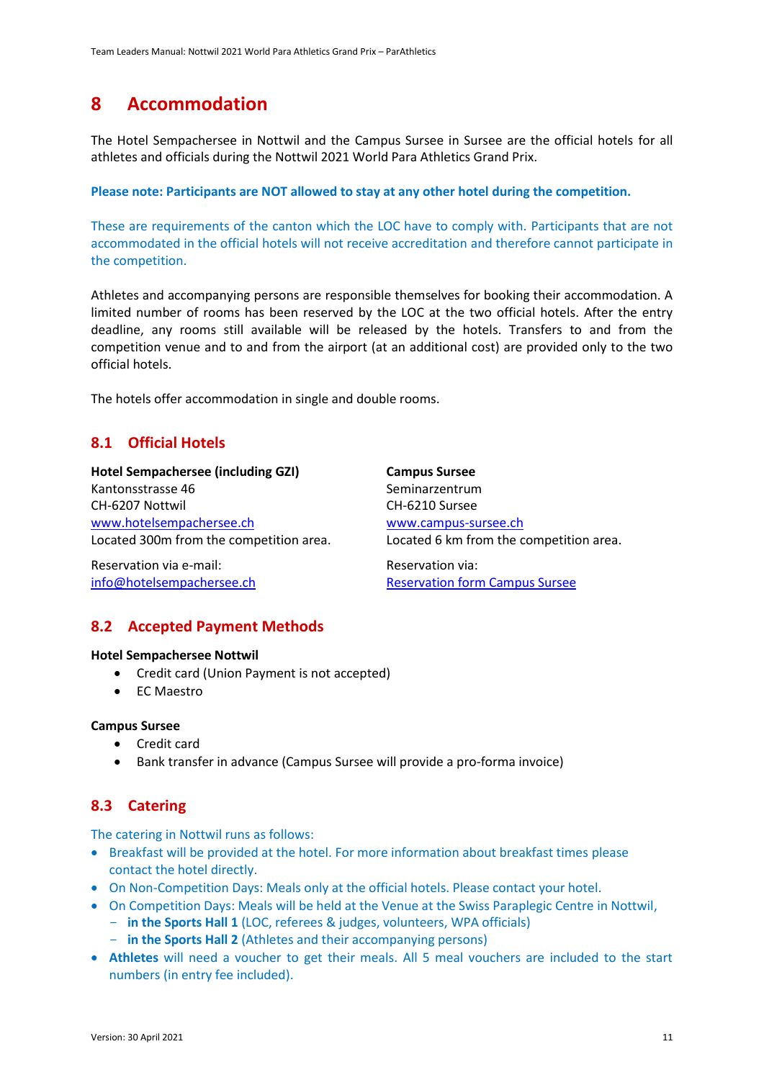### <span id="page-10-0"></span>**8 Accommodation**

The Hotel Sempachersee in Nottwil and the Campus Sursee in Sursee are the official hotels for all athletes and officials during the Nottwil 2021 World Para Athletics Grand Prix.

#### **Please note: Participants are NOT allowed to stay at any other hotel during the competition.**

These are requirements of the canton which the LOC have to comply with. Participants that are not accommodated in the official hotels will not receive accreditation and therefore cannot participate in the competition.

Athletes and accompanying persons are responsible themselves for booking their accommodation. A limited number of rooms has been reserved by the LOC at the two official hotels. After the entry deadline, any rooms still available will be released by the hotels. Transfers to and from the competition venue and to and from the airport (at an additional cost) are provided only to the two official hotels.

The hotels offer accommodation in single and double rooms.

#### <span id="page-10-1"></span>**8.1 Official Hotels**

**Hotel Sempachersee (including GZI)** Kantonsstrasse 46 CH-6207 Nottwil [www.hotelsempachersee.ch](http://www.hotelsempachersee.ch/) Located 300m from the competition area. **Campus Sursee** Seminarzentrum CH-6210 Sursee [www.campus-sursee.ch](http://www.campus-sursee.ch/) Located 6 km from the competition area.

Reservation via e-mail: [info@hotelsempachersee.ch](mailto:info@hotelsempachersee.ch) Reservation via: [Reservation form Campus Sursee](https://campus-sursee.ch/registration-form-parathletics-nottwil/)

#### <span id="page-10-2"></span>**8.2 Accepted Payment Methods**

#### **Hotel Sempachersee Nottwil**

- Credit card (Union Payment is not accepted)
- EC Maestro

#### **Campus Sursee**

- Credit card
- Bank transfer in advance (Campus Sursee will provide a pro-forma invoice)

#### <span id="page-10-3"></span>**8.3 Catering**

The catering in Nottwil runs as follows:

- Breakfast will be provided at the hotel. For more information about breakfast times please contact the hotel directly.
- On Non-Competition Days: Meals only at the official hotels. Please contact your hotel.
- On Competition Days: Meals will be held at the Venue at the Swiss Paraplegic Centre in Nottwil,
	- **in the Sports Hall 1** (LOC, referees & judges, volunteers, WPA officials)
	- **in the Sports Hall 2** (Athletes and their accompanying persons)
- **Athletes** will need a voucher to get their meals. All 5 meal vouchers are included to the start numbers (in entry fee included).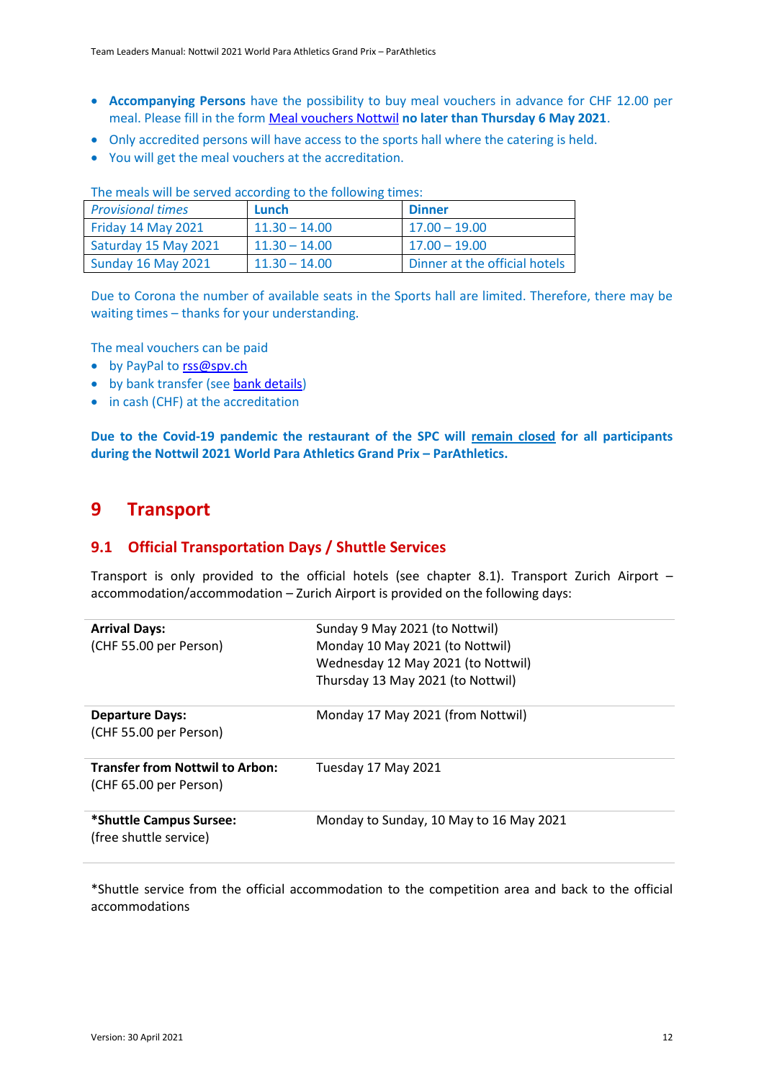- **Accompanying Persons** have the possibility to buy meal vouchers in advance for CHF 12.00 per meal. Please fill in the for[m Meal vouchers Nottwil](https://fatis.wufoo.com/forms/q1tnul1f1h8haif/) **no later than Thursday 6 May 2021**.
- Only accredited persons will have access to the sports hall where the catering is held.
- You will get the meal vouchers at the accreditation.

| <b>Provisional times</b>  | Lunch           | <b>Dinner</b>                 |
|---------------------------|-----------------|-------------------------------|
| Friday 14 May 2021        | $11.30 - 14.00$ | $17.00 - 19.00$               |
| Saturday 15 May 2021      | $11.30 - 14.00$ | $17.00 - 19.00$               |
| <b>Sunday 16 May 2021</b> | $11.30 - 14.00$ | Dinner at the official hotels |

The meals will be served according to the following times:

Due to Corona the number of available seats in the Sports hall are limited. Therefore, there may be waiting times – thanks for your understanding.

The meal vouchers can be paid

- by PayPal to [rss@spv.ch](mailto:rss@spv.ch)
- by bank transfer (see [bank details\)](http://www.wheelchairsportevents.ch/en/ongoing_events/parathletics_2021_nottwil/athletes/)
- in cash (CHF) at the accreditation

**Due to the Covid-19 pandemic the restaurant of the SPC will remain closed for all participants during the Nottwil 2021 World Para Athletics Grand Prix – ParAthletics.**

### <span id="page-11-0"></span>**9 Transport**

#### <span id="page-11-1"></span>**9.1 Official Transportation Days / Shuttle Services**

Transport is only provided to the official hotels (see chapter 8.1). Transport Zurich Airport – accommodation/accommodation – Zurich Airport is provided on the following days:

| <b>Arrival Days:</b><br>(CHF 55.00 per Person)                   | Sunday 9 May 2021 (to Nottwil)<br>Monday 10 May 2021 (to Nottwil)<br>Wednesday 12 May 2021 (to Nottwil)<br>Thursday 13 May 2021 (to Nottwil) |
|------------------------------------------------------------------|----------------------------------------------------------------------------------------------------------------------------------------------|
| <b>Departure Days:</b><br>(CHF 55.00 per Person)                 | Monday 17 May 2021 (from Nottwil)                                                                                                            |
| <b>Transfer from Nottwil to Arbon:</b><br>(CHF 65.00 per Person) | Tuesday 17 May 2021                                                                                                                          |
| *Shuttle Campus Sursee:<br>(free shuttle service)                | Monday to Sunday, 10 May to 16 May 2021                                                                                                      |

\*Shuttle service from the official accommodation to the competition area and back to the official accommodations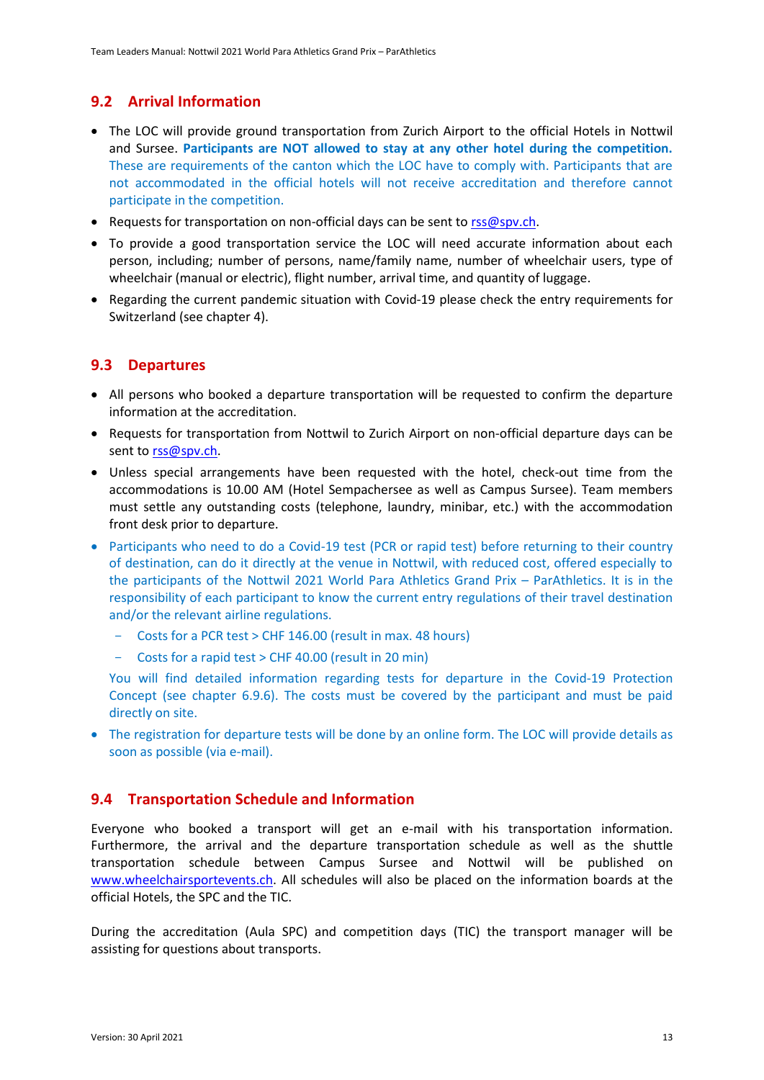#### <span id="page-12-0"></span>**9.2 Arrival Information**

- The LOC will provide ground transportation from Zurich Airport to the official Hotels in Nottwil and Sursee. **Participants are NOT allowed to stay at any other hotel during the competition.** These are requirements of the canton which the LOC have to comply with. Participants that are not accommodated in the official hotels will not receive accreditation and therefore cannot participate in the competition.
- Requests for transportation on non-official days can be sent to [rss@spv.ch.](mailto:rss@spv.ch)
- To provide a good transportation service the LOC will need accurate information about each person, including; number of persons, name/family name, number of wheelchair users, type of wheelchair (manual or electric), flight number, arrival time, and quantity of luggage.
- Regarding the current pandemic situation with Covid-19 please check the entry requirements for Switzerland (see chapter 4).

#### <span id="page-12-1"></span>**9.3 Departures**

- All persons who booked a departure transportation will be requested to confirm the departure information at the accreditation.
- Requests for transportation from Nottwil to Zurich Airport on non-official departure days can be sent to [rss@spv.ch.](mailto:rss@spv.ch)
- Unless special arrangements have been requested with the hotel, check-out time from the accommodations is 10.00 AM (Hotel Sempachersee as well as Campus Sursee). Team members must settle any outstanding costs (telephone, laundry, minibar, etc.) with the accommodation front desk prior to departure.
- Participants who need to do a Covid-19 test (PCR or rapid test) before returning to their country of destination, can do it directly at the venue in Nottwil, with reduced cost, offered especially to the participants of the Nottwil 2021 World Para Athletics Grand Prix – ParAthletics. It is in the responsibility of each participant to know the current entry regulations of their travel destination and/or the relevant airline regulations.
	- Costs for a PCR test > CHF 146.00 (result in max. 48 hours)
	- Costs for a rapid test > CHF 40.00 (result in 20 min)

You will find detailed information regarding tests for departure in the Covid-19 Protection Concept (see chapter 6.9.6). The costs must be covered by the participant and must be paid directly on site.

• The registration for departure tests will be done by an online form. The LOC will provide details as soon as possible (via e-mail).

#### <span id="page-12-2"></span>**9.4 Transportation Schedule and Information**

Everyone who booked a transport will get an e-mail with his transportation information. Furthermore, the arrival and the departure transportation schedule as well as the shuttle transportation schedule between Campus Sursee and Nottwil will be published on [www.wheelchairsportevents.ch.](http://www.wheelchairsportevents.ch/) All schedules will also be placed on the information boards at the official Hotels, the SPC and the TIC.

During the accreditation (Aula SPC) and competition days (TIC) the transport manager will be assisting for questions about transports.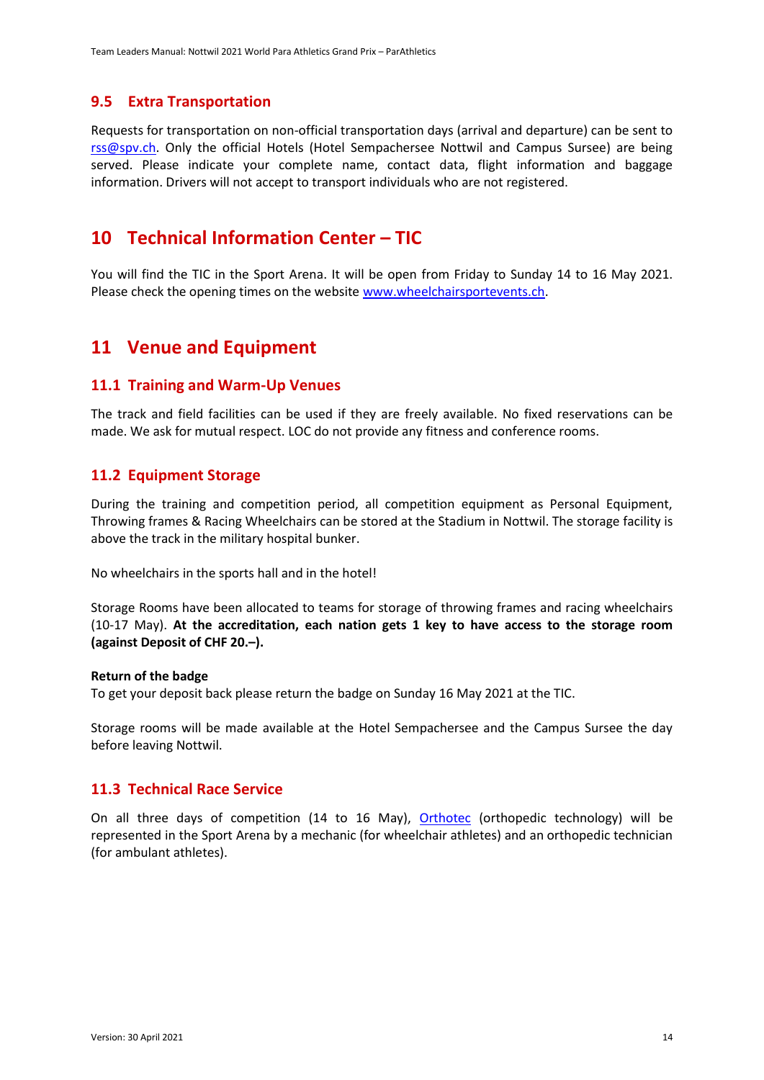#### <span id="page-13-0"></span>**9.5 Extra Transportation**

Requests for transportation on non-official transportation days (arrival and departure) can be sent to [rss@spv.ch.](mailto:rss@spv.ch) Only the official Hotels (Hotel Sempachersee Nottwil and Campus Sursee) are being served. Please indicate your complete name, contact data, flight information and baggage information. Drivers will not accept to transport individuals who are not registered.

### <span id="page-13-1"></span>**10 Technical Information Center – TIC**

You will find the TIC in the Sport Arena. It will be open from Friday to Sunday 14 to 16 May 2021. Please check the opening times on the websit[e www.wheelchairsportevents.ch.](http://www.wheelchairsportevents.ch/)

### <span id="page-13-2"></span>**11 Venue and Equipment**

#### <span id="page-13-3"></span>**11.1 Training and Warm-Up Venues**

The track and field facilities can be used if they are freely available. No fixed reservations can be made. We ask for mutual respect. LOC do not provide any fitness and conference rooms.

#### <span id="page-13-4"></span>**11.2 Equipment Storage**

During the training and competition period, all competition equipment as Personal Equipment, Throwing frames & Racing Wheelchairs can be stored at the Stadium in Nottwil. The storage facility is above the track in the military hospital bunker.

No wheelchairs in the sports hall and in the hotel!

Storage Rooms have been allocated to teams for storage of throwing frames and racing wheelchairs (10-17 May). **At the accreditation, each nation gets 1 key to have access to the storage room (against Deposit of CHF 20.–).**

#### **Return of the badge**

To get your deposit back please return the badge on Sunday 16 May 2021 at the TIC.

Storage rooms will be made available at the Hotel Sempachersee and the Campus Sursee the day before leaving Nottwil.

#### <span id="page-13-5"></span>**11.3 Technical Race Service**

On all three days of competition (14 to 16 May), [Orthotec](https://www.paraplegie.ch/orthotec/de/) (orthopedic technology) will be represented in the Sport Arena by a mechanic (for wheelchair athletes) and an orthopedic technician (for ambulant athletes).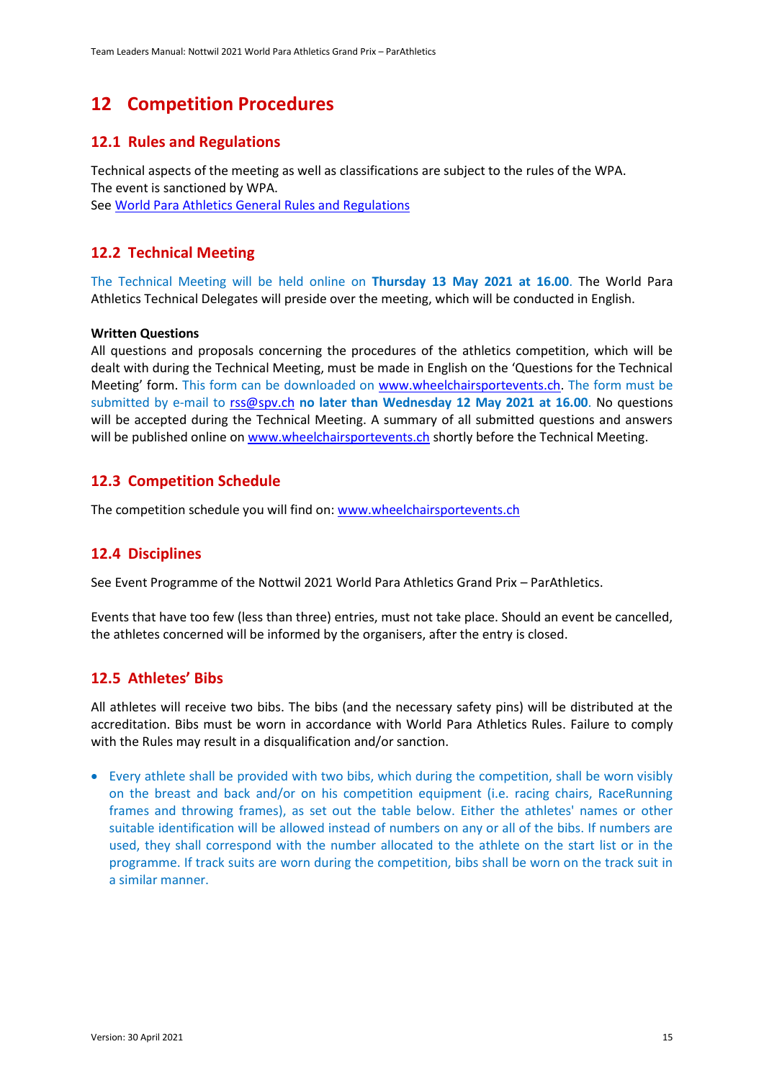### <span id="page-14-0"></span>**12 Competition Procedures**

#### <span id="page-14-1"></span>**12.1 Rules and Regulations**

Technical aspects of the meeting as well as classifications are subject to the rules of the WPA. The event is sanctioned by WPA. Se[e World Para Athletics General Rules and Regulations](https://www.paralympic.org/athletics/rules)

#### <span id="page-14-2"></span>**12.2 Technical Meeting**

The Technical Meeting will be held online on **Thursday 13 May 2021 at 16.00**. The World Para Athletics Technical Delegates will preside over the meeting, which will be conducted in English.

#### **Written Questions**

All questions and proposals concerning the procedures of the athletics competition, which will be dealt with during the Technical Meeting, must be made in English on the 'Questions for the Technical Meeting' form. This form can be downloaded on [www.wheelchairsportevents.ch.](http://www.wheelchairsportevents.ch/) The form must be submitted by e-mail to [rss@spv.ch](mailto:rss@spv.ch) **no later than Wednesday 12 May 2021 at 16.00**. No questions will be accepted during the Technical Meeting. A summary of all submitted questions and answers will be published online on [www.wheelchairsportevents.ch](http://www.wheelchairsportevents.ch/) shortly before the Technical Meeting.

#### <span id="page-14-3"></span>**12.3 Competition Schedule**

The competition schedule you will find on: [www.wheelchairsportevents.ch](http://www.wheelchairsportevents.ch/)

#### <span id="page-14-4"></span>**12.4 Disciplines**

See Event Programme of the Nottwil 2021 World Para Athletics Grand Prix – ParAthletics.

Events that have too few (less than three) entries, must not take place. Should an event be cancelled, the athletes concerned will be informed by the organisers, after the entry is closed.

#### <span id="page-14-5"></span>**12.5 Athletes' Bibs**

All athletes will receive two bibs. The bibs (and the necessary safety pins) will be distributed at the accreditation. Bibs must be worn in accordance with World Para Athletics Rules. Failure to comply with the Rules may result in a disqualification and/or sanction.

• Every athlete shall be provided with two bibs, which during the competition, shall be worn visibly on the breast and back and/or on his competition equipment (i.e. racing chairs, RaceRunning frames and throwing frames), as set out the table below. Either the athletes' names or other suitable identification will be allowed instead of numbers on any or all of the bibs. If numbers are used, they shall correspond with the number allocated to the athlete on the start list or in the programme. If track suits are worn during the competition, bibs shall be worn on the track suit in a similar manner.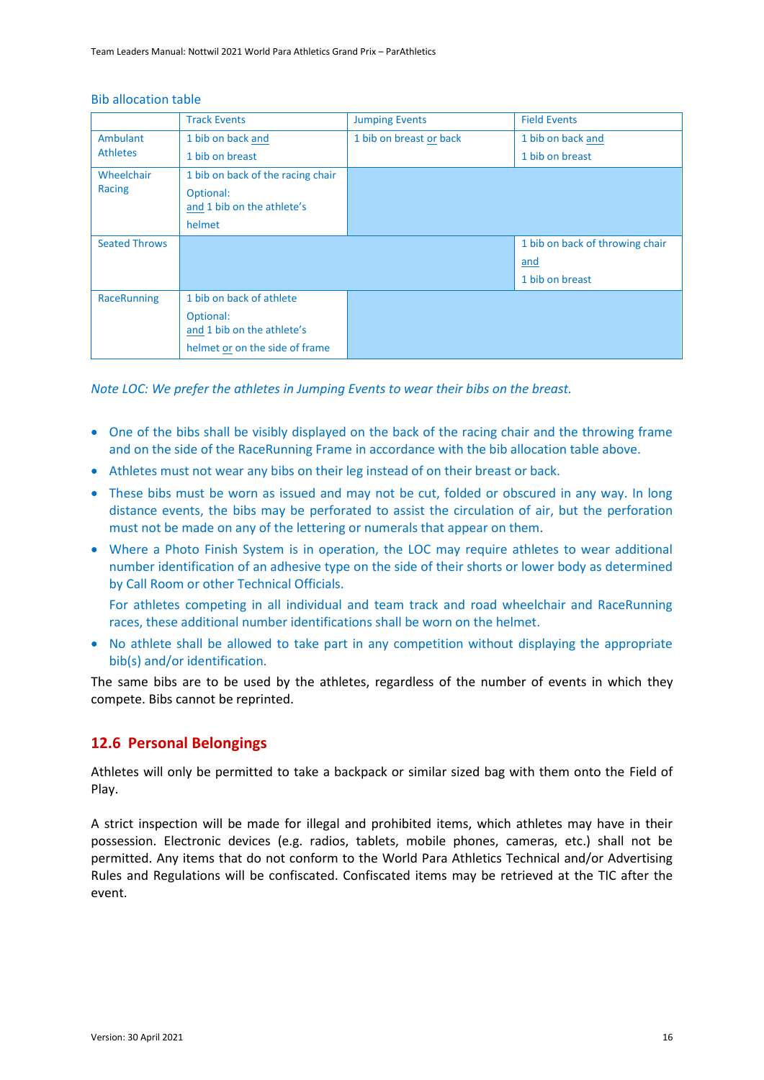Team Leaders Manual: Nottwil 2021 World Para Athletics Grand Prix – ParAthletics

#### Bib allocation table

|                      | <b>Track Events</b>               | <b>Jumping Events</b>   | <b>Field Events</b>             |
|----------------------|-----------------------------------|-------------------------|---------------------------------|
| Ambulant             | 1 bib on back and                 | 1 bib on breast or back | 1 bib on back and               |
| <b>Athletes</b>      | 1 bib on breast                   |                         | 1 bib on breast                 |
| Wheelchair           | 1 bib on back of the racing chair |                         |                                 |
| Racing               | Optional:                         |                         |                                 |
|                      | and 1 bib on the athlete's        |                         |                                 |
|                      | helmet                            |                         |                                 |
| <b>Seated Throws</b> |                                   |                         | 1 bib on back of throwing chair |
|                      |                                   |                         | and                             |
|                      |                                   |                         | 1 bib on breast                 |
| RaceRunning          | 1 bib on back of athlete          |                         |                                 |
|                      | Optional:                         |                         |                                 |
|                      | and 1 bib on the athlete's        |                         |                                 |
|                      | helmet or on the side of frame    |                         |                                 |

*Note LOC: We prefer the athletes in Jumping Events to wear their bibs on the breast.*

- One of the bibs shall be visibly displayed on the back of the racing chair and the throwing frame and on the side of the RaceRunning Frame in accordance with the bib allocation table above.
- Athletes must not wear any bibs on their leg instead of on their breast or back.
- These bibs must be worn as issued and may not be cut, folded or obscured in any way. In long distance events, the bibs may be perforated to assist the circulation of air, but the perforation must not be made on any of the lettering or numerals that appear on them.
- Where a Photo Finish System is in operation, the LOC may require athletes to wear additional number identification of an adhesive type on the side of their shorts or lower body as determined by Call Room or other Technical Officials.

For athletes competing in all individual and team track and road wheelchair and RaceRunning races, these additional number identifications shall be worn on the helmet.

• No athlete shall be allowed to take part in any competition without displaying the appropriate bib(s) and/or identification.

The same bibs are to be used by the athletes, regardless of the number of events in which they compete. Bibs cannot be reprinted.

#### <span id="page-15-0"></span>**12.6 Personal Belongings**

Athletes will only be permitted to take a backpack or similar sized bag with them onto the Field of Play.

A strict inspection will be made for illegal and prohibited items, which athletes may have in their possession. Electronic devices (e.g. radios, tablets, mobile phones, cameras, etc.) shall not be permitted. Any items that do not conform to the World Para Athletics Technical and/or Advertising Rules and Regulations will be confiscated. Confiscated items may be retrieved at the TIC after the event.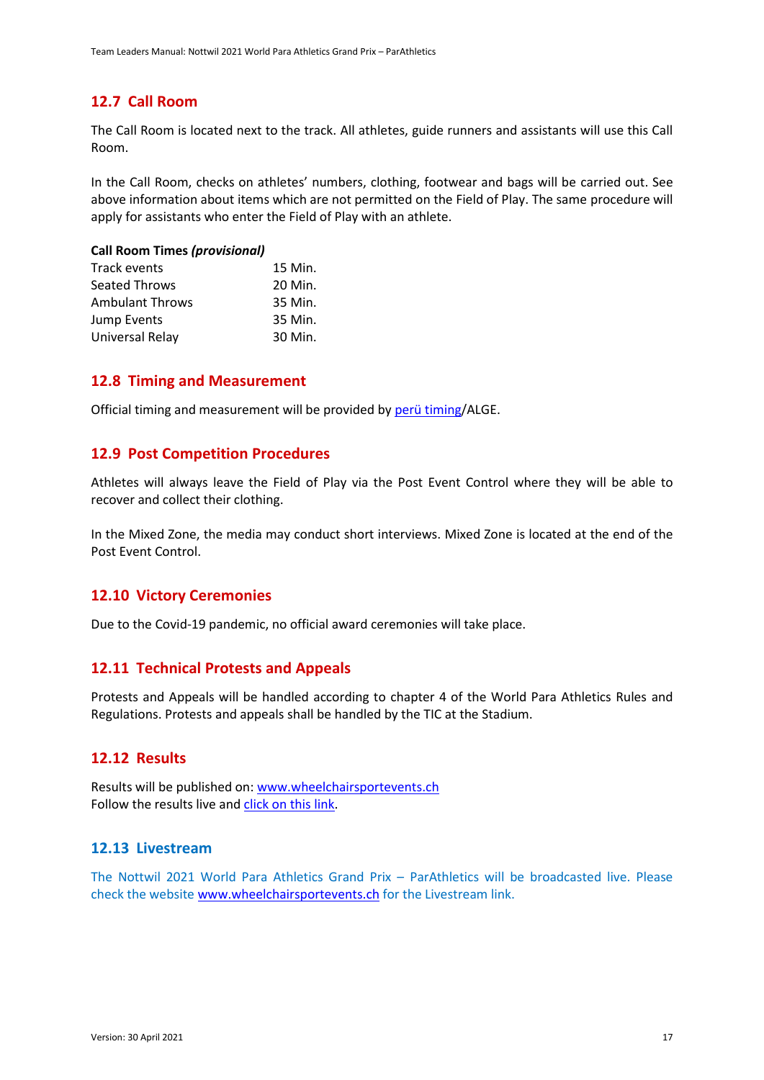#### <span id="page-16-0"></span>**12.7 Call Room**

The Call Room is located next to the track. All athletes, guide runners and assistants will use this Call Room.

In the Call Room, checks on athletes' numbers, clothing, footwear and bags will be carried out. See above information about items which are not permitted on the Field of Play. The same procedure will apply for assistants who enter the Field of Play with an athlete.

#### **Call Room Times** *(provisional)*

| 15 Min. |
|---------|
| 20 Min. |
| 35 Min. |
| 35 Min. |
| 30 Min. |
|         |

#### <span id="page-16-1"></span>**12.8 Timing and Measurement**

Official timing and measurement will be provided b[y perü timing/](http://www.perü-timing.ch/)ALGE.

#### <span id="page-16-2"></span>**12.9 Post Competition Procedures**

Athletes will always leave the Field of Play via the Post Event Control where they will be able to recover and collect their clothing.

In the Mixed Zone, the media may conduct short interviews. Mixed Zone is located at the end of the Post Event Control.

#### <span id="page-16-3"></span>**12.10 Victory Ceremonies**

Due to the Covid-19 pandemic, no official award ceremonies will take place.

#### <span id="page-16-4"></span>**12.11 Technical Protests and Appeals**

Protests and Appeals will be handled according to chapter 4 of the World Para Athletics Rules and Regulations. Protests and appeals shall be handled by the TIC at the Stadium.

#### <span id="page-16-5"></span>**12.12 Results**

Results will be published on: [www.wheelchairsportevents.ch](http://www.wheelchairsportevents.ch/) Follow the results live and [click on this link.](https://om-spv.paraplegie.ch/mobileweb.server/Request.aspx?PRGNAME=SelectLanguageForm)

#### <span id="page-16-6"></span>**12.13 Livestream**

The Nottwil 2021 World Para Athletics Grand Prix – ParAthletics will be broadcasted live. Please check the website [www.wheelchairsportevents.ch](http://www.wheelchairsportevents.ch/) for the Livestream link.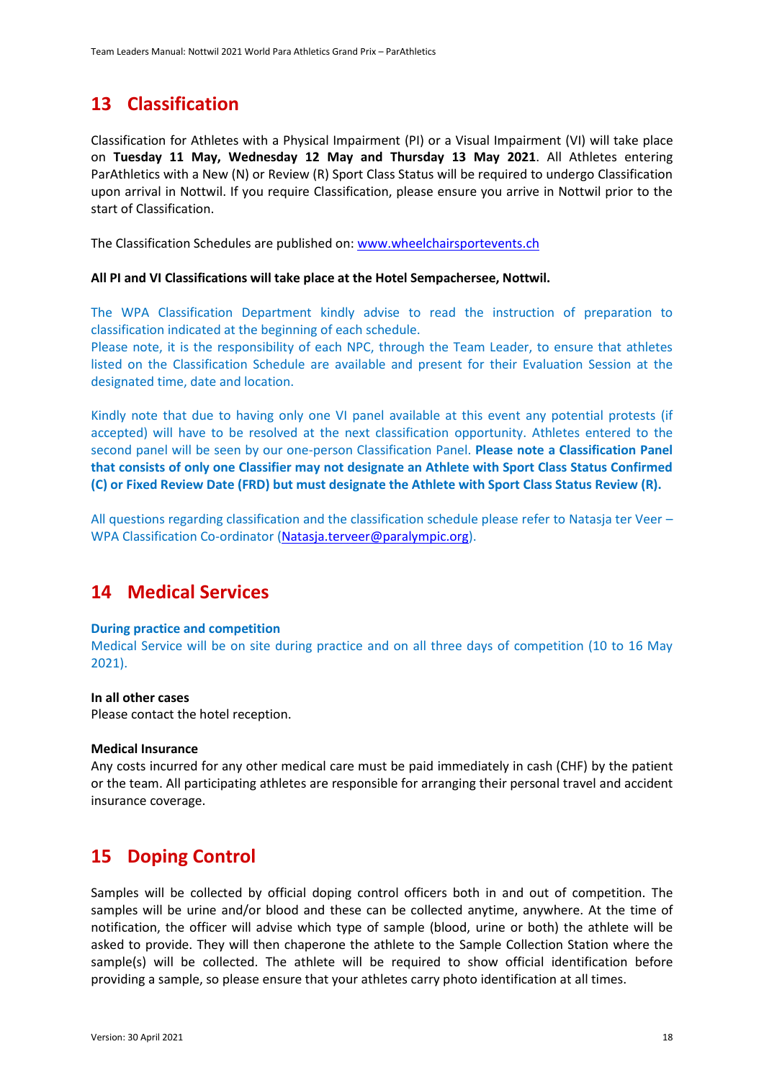# <span id="page-17-0"></span>**13 Classification**

Classification for Athletes with a Physical Impairment (PI) or a Visual Impairment (VI) will take place on **Tuesday 11 May, Wednesday 12 May and Thursday 13 May 2021**. All Athletes entering ParAthletics with a New (N) or Review (R) Sport Class Status will be required to undergo Classification upon arrival in Nottwil. If you require Classification, please ensure you arrive in Nottwil prior to the start of Classification.

The Classification Schedules are published on[: www.wheelchairsportevents.ch](http://www.wheelchairsportevents.ch/)

#### **All PI and VI Classifications will take place at the Hotel Sempachersee, Nottwil.**

The WPA Classification Department kindly advise to read the instruction of preparation to classification indicated at the beginning of each schedule.

Please note, it is the responsibility of each NPC, through the Team Leader, to ensure that athletes listed on the Classification Schedule are available and present for their Evaluation Session at the designated time, date and location.

Kindly note that due to having only one VI panel available at this event any potential protests (if accepted) will have to be resolved at the next classification opportunity. Athletes entered to the second panel will be seen by our one-person Classification Panel. **Please note a Classification Panel that consists of only one Classifier may not designate an Athlete with Sport Class Status Confirmed (C) or Fixed Review Date (FRD) but must designate the Athlete with Sport Class Status Review (R).**

All questions regarding classification and the classification schedule please refer to Natasja ter Veer – WPA Classification Co-ordinator [\(Natasja.terveer@paralympic.org\)](mailto:Natasja.terveer@paralympic.org).

### <span id="page-17-1"></span>**14 Medical Services**

#### **During practice and competition**

Medical Service will be on site during practice and on all three days of competition (10 to 16 May 2021).

#### **In all other cases**

Please contact the hotel reception.

#### **Medical Insurance**

Any costs incurred for any other medical care must be paid immediately in cash (CHF) by the patient or the team. All participating athletes are responsible for arranging their personal travel and accident insurance coverage.

### <span id="page-17-2"></span>**15 Doping Control**

Samples will be collected by official doping control officers both in and out of competition. The samples will be urine and/or blood and these can be collected anytime, anywhere. At the time of notification, the officer will advise which type of sample (blood, urine or both) the athlete will be asked to provide. They will then chaperone the athlete to the Sample Collection Station where the sample(s) will be collected. The athlete will be required to show official identification before providing a sample, so please ensure that your athletes carry photo identification at all times.